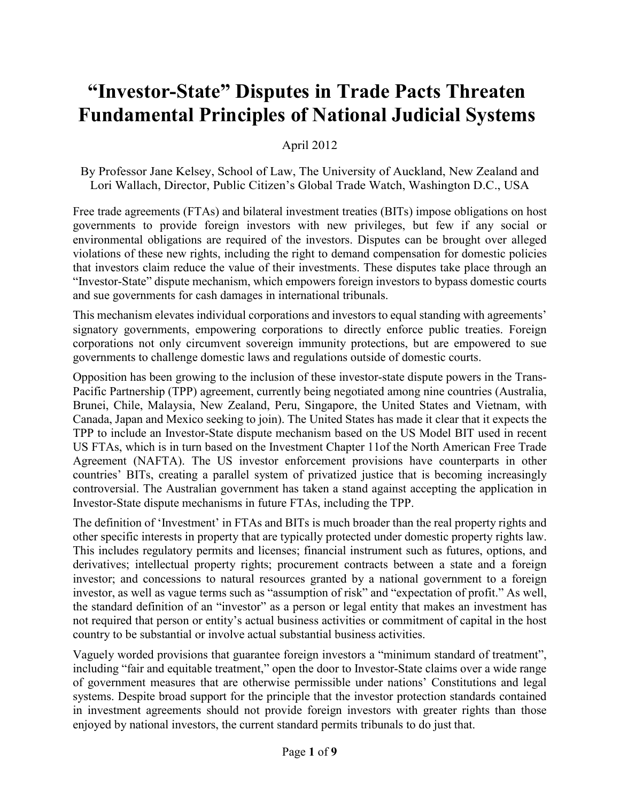## **"Investor-State" Disputes in Trade Pacts Threaten Fundamental Principles of National Judicial Systems**

April 2012

By Professor Jane Kelsey, School of Law, The University of Auckland, New Zealand and Lori Wallach, Director, Public Citizen's Global Trade Watch, Washington D.C., USA

Free trade agreements (FTAs) and bilateral investment treaties (BITs) impose obligations on host governments to provide foreign investors with new privileges, but few if any social or environmental obligations are required of the investors. Disputes can be brought over alleged violations of these new rights, including the right to demand compensation for domestic policies that investors claim reduce the value of their investments. These disputes take place through an "Investor-State" dispute mechanism, which empowers foreign investors to bypass domestic courts and sue governments for cash damages in international tribunals.

This mechanism elevates individual corporations and investors to equal standing with agreements' signatory governments, empowering corporations to directly enforce public treaties. Foreign corporations not only circumvent sovereign immunity protections, but are empowered to sue governments to challenge domestic laws and regulations outside of domestic courts.

Opposition has been growing to the inclusion of these investor-state dispute powers in the Trans-Pacific Partnership (TPP) agreement, currently being negotiated among nine countries (Australia, Brunei, Chile, Malaysia, New Zealand, Peru, Singapore, the United States and Vietnam, with Canada, Japan and Mexico seeking to join). The United States has made it clear that it expects the TPP to include an Investor-State dispute mechanism based on the US Model BIT used in recent US FTAs, which is in turn based on the Investment Chapter 11of the North American Free Trade Agreement (NAFTA). The US investor enforcement provisions have counterparts in other countries' BITs, creating a parallel system of privatized justice that is becoming increasingly controversial. The Australian government has taken a stand against accepting the application in Investor-State dispute mechanisms in future FTAs, including the TPP.

The definition of 'Investment' in FTAs and BITs is much broader than the real property rights and other specific interests in property that are typically protected under domestic property rights law. This includes regulatory permits and licenses; financial instrument such as futures, options, and derivatives; intellectual property rights; procurement contracts between a state and a foreign investor; and concessions to natural resources granted by a national government to a foreign investor, as well as vague terms such as "assumption of risk" and "expectation of profit." As well, the standard definition of an "investor" as a person or legal entity that makes an investment has not required that person or entity's actual business activities or commitment of capital in the host country to be substantial or involve actual substantial business activities.

Vaguely worded provisions that guarantee foreign investors a "minimum standard of treatment", including "fair and equitable treatment," open the door to Investor-State claims over a wide range of government measures that are otherwise permissible under nations' Constitutions and legal systems. Despite broad support for the principle that the investor protection standards contained in investment agreements should not provide foreign investors with greater rights than those enjoyed by national investors, the current standard permits tribunals to do just that.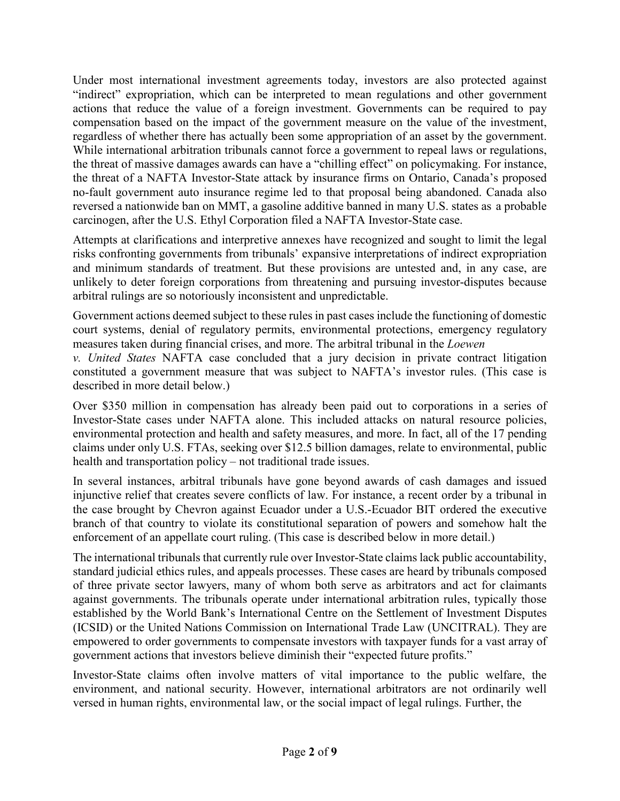Under most international investment agreements today, investors are also protected against "indirect" expropriation, which can be interpreted to mean regulations and other government actions that reduce the value of a foreign investment. Governments can be required to pay compensation based on the impact of the government measure on the value of the investment, regardless of whether there has actually been some appropriation of an asset by the government. While international arbitration tribunals cannot force a government to repeal laws or regulations, the threat of massive damages awards can have a "chilling effect" on policymaking. For instance, the threat of a NAFTA Investor-State attack by insurance firms on Ontario, Canada's proposed no-fault government auto insurance regime led to that proposal being abandoned. Canada also reversed a nationwide ban on MMT, a gasoline additive banned in many U.S. states as a probable carcinogen, after the U.S. Ethyl Corporation filed a NAFTA Investor-State case.

Attempts at clarifications and interpretive annexes have recognized and sought to limit the legal risks confronting governments from tribunals' expansive interpretations of indirect expropriation and minimum standards of treatment. But these provisions are untested and, in any case, are unlikely to deter foreign corporations from threatening and pursuing investor-disputes because arbitral rulings are so notoriously inconsistent and unpredictable.

Government actions deemed subject to these rules in past cases include the functioning of domestic court systems, denial of regulatory permits, environmental protections, emergency regulatory measures taken during financial crises, and more. The arbitral tribunal in the *Loewen*

*v. United States* NAFTA case concluded that a jury decision in private contract litigation constituted a government measure that was subject to NAFTA's investor rules. (This case is described in more detail below.)

Over \$350 million in compensation has already been paid out to corporations in a series of Investor-State cases under NAFTA alone. This included attacks on natural resource policies, environmental protection and health and safety measures, and more. In fact, all of the 17 pending claims under only U.S. FTAs, seeking over \$12.5 billion damages, relate to environmental, public health and transportation policy – not traditional trade issues.

In several instances, arbitral tribunals have gone beyond awards of cash damages and issued injunctive relief that creates severe conflicts of law. For instance, a recent order by a tribunal in the case brought by Chevron against Ecuador under a U.S.-Ecuador BIT ordered the executive branch of that country to violate its constitutional separation of powers and somehow halt the enforcement of an appellate court ruling. (This case is described below in more detail.)

The international tribunals that currently rule over Investor-State claims lack public accountability, standard judicial ethics rules, and appeals processes. These cases are heard by tribunals composed of three private sector lawyers, many of whom both serve as arbitrators and act for claimants against governments. The tribunals operate under international arbitration rules, typically those established by the World Bank's International Centre on the Settlement of Investment Disputes (ICSID) or the United Nations Commission on International Trade Law (UNCITRAL). They are empowered to order governments to compensate investors with taxpayer funds for a vast array of government actions that investors believe diminish their "expected future profits."

Investor-State claims often involve matters of vital importance to the public welfare, the environment, and national security. However, international arbitrators are not ordinarily well versed in human rights, environmental law, or the social impact of legal rulings. Further, the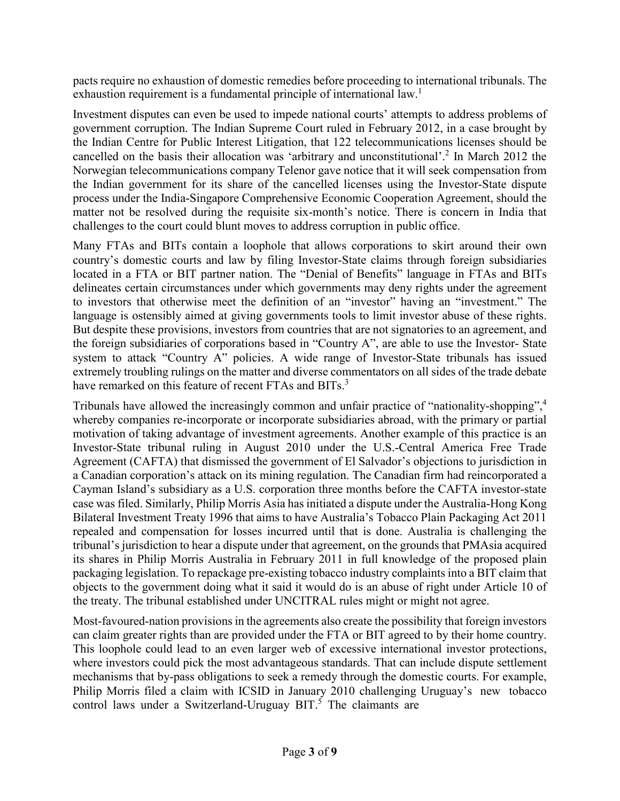pacts require no exhaustion of domestic remedies before proceeding to international tribunals. The exhaustion requirement is a fundamental principle of international law.<sup>1</sup>

Investment disputes can even be used to impede national courts' attempts to address problems of government corruption. The Indian Supreme Court ruled in February 2012, in a case brought by the Indian Centre for Public Interest Litigation, that 122 telecommunications licenses should be cancelled on the basis their allocation was 'arbitrary and unconstitutional'.2 In March 2012 the Norwegian telecommunications company Telenor gave notice that it will seek compensation from the Indian government for its share of the cancelled licenses using the Investor-State dispute process under the India-Singapore Comprehensive Economic Cooperation Agreement, should the matter not be resolved during the requisite six-month's notice. There is concern in India that challenges to the court could blunt moves to address corruption in public office.

Many FTAs and BITs contain a loophole that allows corporations to skirt around their own country's domestic courts and law by filing Investor-State claims through foreign subsidiaries located in a FTA or BIT partner nation. The "Denial of Benefits" language in FTAs and BITs delineates certain circumstances under which governments may deny rights under the agreement to investors that otherwise meet the definition of an "investor" having an "investment." The language is ostensibly aimed at giving governments tools to limit investor abuse of these rights. But despite these provisions, investors from countries that are not signatories to an agreement, and the foreign subsidiaries of corporations based in "Country A", are able to use the Investor- State system to attack "Country A" policies. A wide range of Investor-State tribunals has issued extremely troubling rulings on the matter and diverse commentators on all sides of the trade debate have remarked on this feature of recent FTAs and BITs.<sup>3</sup>

Tribunals have allowed the increasingly common and unfair practice of "nationality-shopping",<sup>4</sup> whereby companies re-incorporate or incorporate subsidiaries abroad, with the primary or partial motivation of taking advantage of investment agreements. Another example of this practice is an Investor-State tribunal ruling in August 2010 under the U.S.-Central America Free Trade Agreement (CAFTA) that dismissed the government of El Salvador's objections to jurisdiction in a Canadian corporation's attack on its mining regulation. The Canadian firm had reincorporated a Cayman Island's subsidiary as a U.S. corporation three months before the CAFTA investor-state case was filed. Similarly, Philip Morris Asia has initiated a dispute under the Australia-Hong Kong Bilateral Investment Treaty 1996 that aims to have Australia's Tobacco Plain Packaging Act 2011 repealed and compensation for losses incurred until that is done. Australia is challenging the tribunal's jurisdiction to hear a dispute under that agreement, on the grounds that PMAsia acquired its shares in Philip Morris Australia in February 2011 in full knowledge of the proposed plain packaging legislation. To repackage pre-existing tobacco industry complaints into a BIT claim that objects to the government doing what it said it would do is an abuse of right under Article 10 of the treaty. The tribunal established under UNCITRAL rules might or might not agree.

Most-favoured-nation provisions in the agreements also create the possibility that foreign investors can claim greater rights than are provided under the FTA or BIT agreed to by their home country. This loophole could lead to an even larger web of excessive international investor protections, where investors could pick the most advantageous standards. That can include dispute settlement mechanisms that by-pass obligations to seek a remedy through the domestic courts. For example, Philip Morris filed a claim with ICSID in January 2010 challenging Uruguay's new tobacco control laws under a Switzerland-Uruguay BIT.<sup>5</sup> The claimants are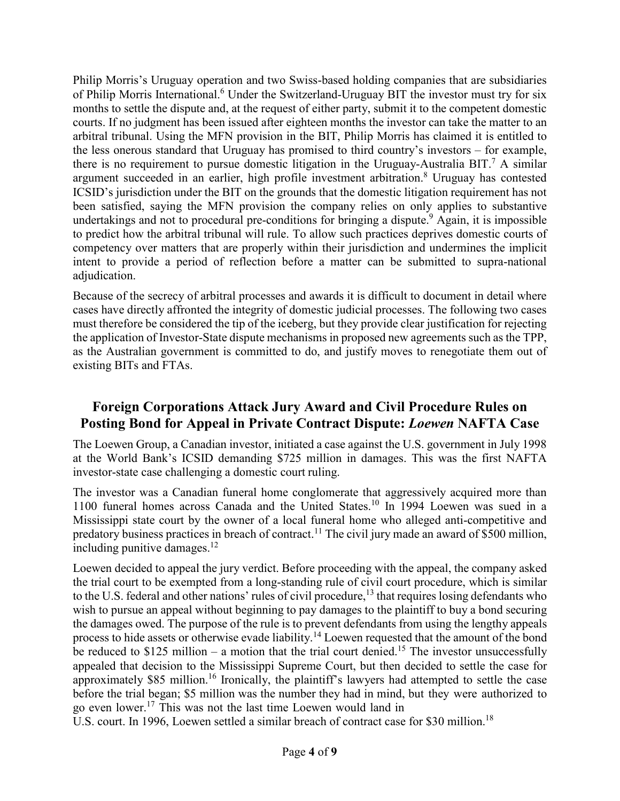Philip Morris's Uruguay operation and two Swiss-based holding companies that are subsidiaries of Philip Morris International.<sup>6</sup> Under the Switzerland-Uruguay BIT the investor must try for six months to settle the dispute and, at the request of either party, submit it to the competent domestic courts. If no judgment has been issued after eighteen months the investor can take the matter to an arbitral tribunal. Using the MFN provision in the BIT, Philip Morris has claimed it is entitled to the less onerous standard that Uruguay has promised to third country's investors – for example, there is no requirement to pursue domestic litigation in the Uruguay-Australia BIT.<sup>7</sup> A similar argument succeeded in an earlier, high profile investment arbitration.<sup>8</sup> Uruguay has contested ICSID's jurisdiction under the BIT on the grounds that the domestic litigation requirement has not been satisfied, saying the MFN provision the company relies on only applies to substantive undertakings and not to procedural pre-conditions for bringing a dispute.<sup>9</sup> Again, it is impossible to predict how the arbitral tribunal will rule. To allow such practices deprives domestic courts of competency over matters that are properly within their jurisdiction and undermines the implicit intent to provide a period of reflection before a matter can be submitted to supra-national adjudication.

Because of the secrecy of arbitral processes and awards it is difficult to document in detail where cases have directly affronted the integrity of domestic judicial processes. The following two cases must therefore be considered the tip of the iceberg, but they provide clear justification for rejecting the application of Investor-State dispute mechanisms in proposed new agreements such as the TPP, as the Australian government is committed to do, and justify moves to renegotiate them out of existing BITs and FTAs.

## **Foreign Corporations Attack Jury Award and Civil Procedure Rules on Posting Bond for Appeal in Private Contract Dispute:** *Loewen* **NAFTA Case**

The Loewen Group, a Canadian investor, initiated a case against the U.S. government in July 1998 at the World Bank's ICSID demanding \$725 million in damages. This was the first NAFTA investor-state case challenging a domestic court ruling.

The investor was a Canadian funeral home conglomerate that aggressively acquired more than 1100 funeral homes across Canada and the United States.<sup>10</sup> In 1994 Loewen was sued in a Mississippi state court by the owner of a local funeral home who alleged anti-competitive and predatory business practices in breach of contract.<sup>11</sup> The civil jury made an award of \$500 million, including punitive damages. $12$ 

Loewen decided to appeal the jury verdict. Before proceeding with the appeal, the company asked the trial court to be exempted from a long-standing rule of civil court procedure, which is similar to the U.S. federal and other nations' rules of civil procedure,<sup>13</sup> that requires losing defendants who wish to pursue an appeal without beginning to pay damages to the plaintiff to buy a bond securing the damages owed. The purpose of the rule is to prevent defendants from using the lengthy appeals process to hide assets or otherwise evade liability.<sup>14</sup> Loewen requested that the amount of the bond be reduced to  $$125$  million – a motion that the trial court denied.<sup>15</sup> The investor unsuccessfully appealed that decision to the Mississippi Supreme Court, but then decided to settle the case for approximately  $$85$  million.<sup>16</sup> Ironically, the plaintiff's lawyers had attempted to settle the case before the trial began; \$5 million was the number they had in mind, but they were authorized to go even lower.17 This was not the last time Loewen would land in

U.S. court. In 1996, Loewen settled a similar breach of contract case for \$30 million.<sup>18</sup>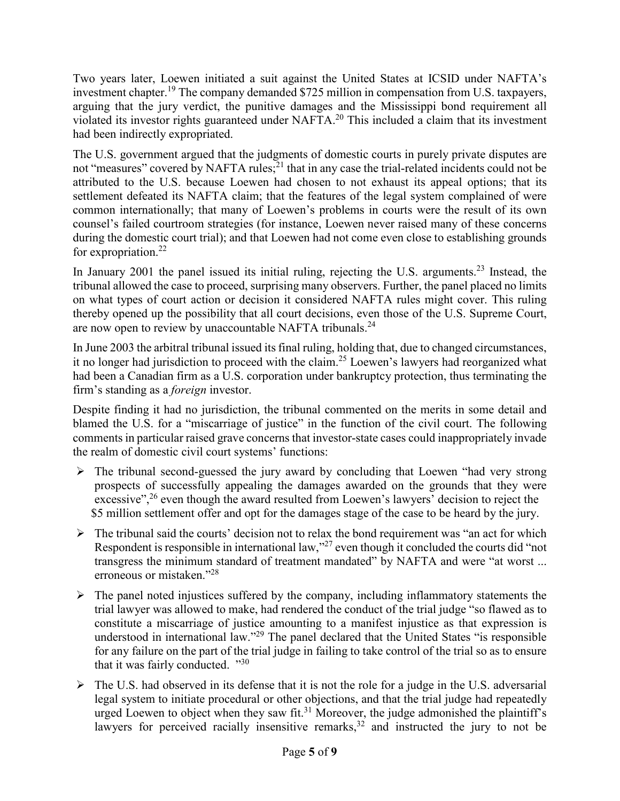Two years later, Loewen initiated a suit against the United States at ICSID under NAFTA's investment chapter.<sup>19</sup> The company demanded \$725 million in compensation from U.S. taxpayers, arguing that the jury verdict, the punitive damages and the Mississippi bond requirement all violated its investor rights guaranteed under NAFTA.20 This included a claim that its investment had been indirectly expropriated.

The U.S. government argued that the judgments of domestic courts in purely private disputes are not "measures" covered by NAFTA rules;<sup>21</sup> that in any case the trial-related incidents could not be attributed to the U.S. because Loewen had chosen to not exhaust its appeal options; that its settlement defeated its NAFTA claim; that the features of the legal system complained of were common internationally; that many of Loewen's problems in courts were the result of its own counsel's failed courtroom strategies (for instance, Loewen never raised many of these concerns during the domestic court trial); and that Loewen had not come even close to establishing grounds for expropriation.<sup>22</sup>

In January 2001 the panel issued its initial ruling, rejecting the U.S. arguments.<sup>23</sup> Instead, the tribunal allowed the case to proceed, surprising many observers. Further, the panel placed no limits on what types of court action or decision it considered NAFTA rules might cover. This ruling thereby opened up the possibility that all court decisions, even those of the U.S. Supreme Court, are now open to review by unaccountable NAFTA tribunals.<sup>24</sup>

In June 2003 the arbitral tribunal issued its final ruling, holding that, due to changed circumstances, it no longer had jurisdiction to proceed with the claim.<sup>25</sup> Loewen's lawyers had reorganized what had been a Canadian firm as a U.S. corporation under bankruptcy protection, thus terminating the firm's standing as a *foreign* investor.

Despite finding it had no jurisdiction, the tribunal commented on the merits in some detail and blamed the U.S. for a "miscarriage of justice" in the function of the civil court. The following comments in particular raised grave concerns that investor-state cases could inappropriately invade the realm of domestic civil court systems' functions:

- $\triangleright$  The tribunal second-guessed the jury award by concluding that Loewen "had very strong" prospects of successfully appealing the damages awarded on the grounds that they were excessive",  $2<sup>6</sup>$  even though the award resulted from Loewen's lawyers' decision to reject the \$5 million settlement offer and opt for the damages stage of the case to be heard by the jury.
- $\triangleright$  The tribunal said the courts' decision not to relax the bond requirement was "an act for which Respondent is responsible in international law,  $^{27}$  even though it concluded the courts did "not" transgress the minimum standard of treatment mandated" by NAFTA and were "at worst ... erroneous or mistaken."28
- $\triangleright$  The panel noted injustices suffered by the company, including inflammatory statements the trial lawyer was allowed to make, had rendered the conduct of the trial judge "so flawed as to constitute a miscarriage of justice amounting to a manifest injustice as that expression is understood in international law."<sup>29</sup> The panel declared that the United States "is responsible for any failure on the part of the trial judge in failing to take control of the trial so as to ensure that it was fairly conducted.  $\cdot^{30}$
- $\triangleright$  The U.S. had observed in its defense that it is not the role for a judge in the U.S. adversarial legal system to initiate procedural or other objections, and that the trial judge had repeatedly urged Loewen to object when they saw fit.<sup>31</sup> Moreover, the judge admonished the plaintiff's lawyers for perceived racially insensitive remarks,  $32$  and instructed the jury to not be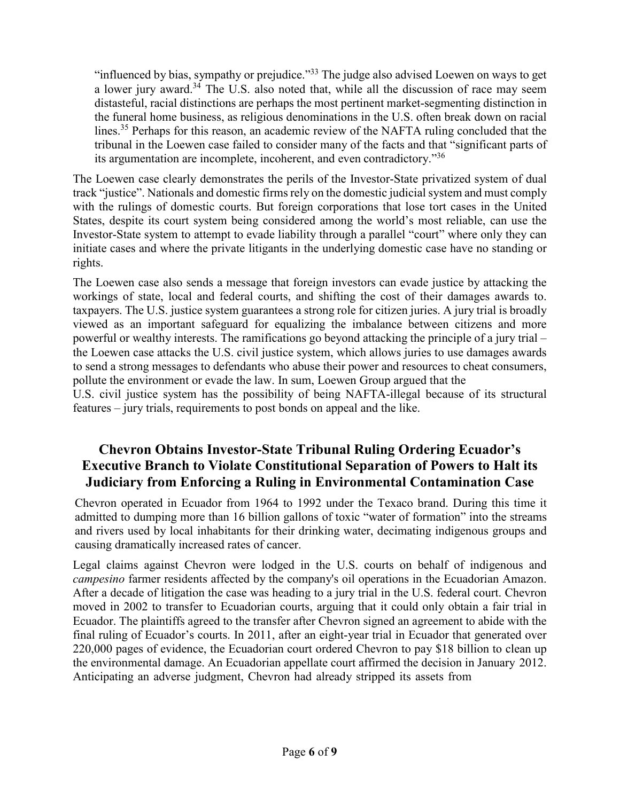"influenced by bias, sympathy or prejudice."33 The judge also advised Loewen on ways to get a lower jury award.<sup>34</sup> The U.S. also noted that, while all the discussion of race may seem distasteful, racial distinctions are perhaps the most pertinent market-segmenting distinction in the funeral home business, as religious denominations in the U.S. often break down on racial lines.<sup>35</sup> Perhaps for this reason, an academic review of the NAFTA ruling concluded that the tribunal in the Loewen case failed to consider many of the facts and that "significant parts of its argumentation are incomplete, incoherent, and even contradictory."<sup>36</sup>

The Loewen case clearly demonstrates the perils of the Investor-State privatized system of dual track "justice". Nationals and domestic firms rely on the domestic judicial system and must comply with the rulings of domestic courts. But foreign corporations that lose tort cases in the United States, despite its court system being considered among the world's most reliable, can use the Investor-State system to attempt to evade liability through a parallel "court" where only they can initiate cases and where the private litigants in the underlying domestic case have no standing or rights.

The Loewen case also sends a message that foreign investors can evade justice by attacking the workings of state, local and federal courts, and shifting the cost of their damages awards to. taxpayers. The U.S. justice system guarantees a strong role for citizen juries. A jury trial is broadly viewed as an important safeguard for equalizing the imbalance between citizens and more powerful or wealthy interests. The ramifications go beyond attacking the principle of a jury trial – the Loewen case attacks the U.S. civil justice system, which allows juries to use damages awards to send a strong messages to defendants who abuse their power and resources to cheat consumers, pollute the environment or evade the law. In sum, Loewen Group argued that the

U.S. civil justice system has the possibility of being NAFTA-illegal because of its structural features – jury trials, requirements to post bonds on appeal and the like.

## **Chevron Obtains Investor-State Tribunal Ruling Ordering Ecuador's Executive Branch to Violate Constitutional Separation of Powers to Halt its Judiciary from Enforcing a Ruling in Environmental Contamination Case**

Chevron operated in Ecuador from 1964 to 1992 under the Texaco brand. During this time it admitted to dumping more than 16 billion gallons of toxic "water of formation" into the streams and rivers used by local inhabitants for their drinking water, decimating indigenous groups and causing dramatically increased rates of cancer.

Legal claims against Chevron were lodged in the U.S. courts on behalf of indigenous and *campesino* farmer residents affected by the company's oil operations in the Ecuadorian Amazon. After a decade of litigation the case was heading to a jury trial in the U.S. federal court. Chevron moved in 2002 to transfer to Ecuadorian courts, arguing that it could only obtain a fair trial in Ecuador. The plaintiffs agreed to the transfer after Chevron signed an agreement to abide with the final ruling of Ecuador's courts. In 2011, after an eight-year trial in Ecuador that generated over 220,000 pages of evidence, the Ecuadorian court ordered Chevron to pay \$18 billion to clean up the environmental damage. An Ecuadorian appellate court affirmed the decision in January 2012. Anticipating an adverse judgment, Chevron had already stripped its assets from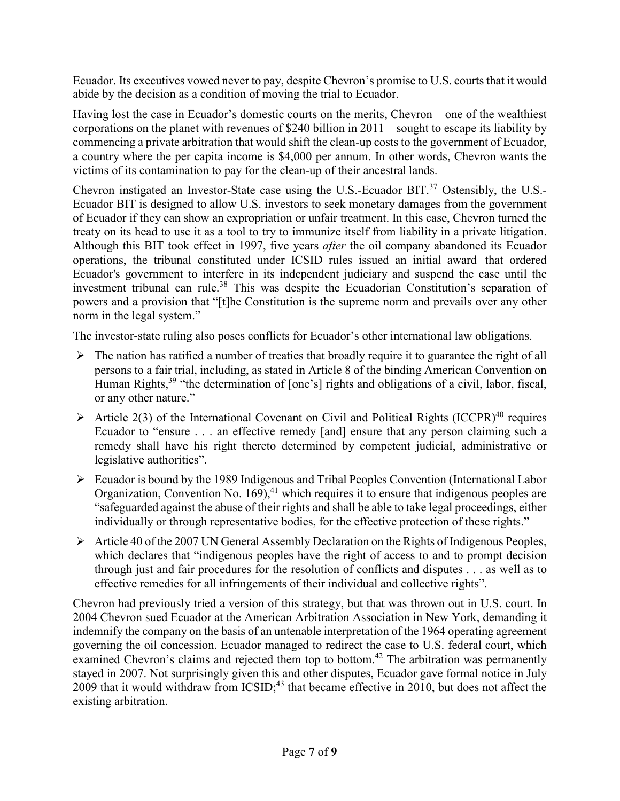Ecuador. Its executives vowed never to pay, despite Chevron's promise to U.S. courts that it would abide by the decision as a condition of moving the trial to Ecuador.

Having lost the case in Ecuador's domestic courts on the merits, Chevron – one of the wealthiest corporations on the planet with revenues of \$240 billion in 2011 – sought to escape its liability by commencing a private arbitration that would shift the clean-up costs to the government of Ecuador, a country where the per capita income is \$4,000 per annum. In other words, Chevron wants the victims of its contamination to pay for the clean-up of their ancestral lands.

Chevron instigated an Investor-State case using the U.S.-Ecuador BIT.<sup>37</sup> Ostensibly, the U.S.-Ecuador BIT is designed to allow U.S. investors to seek monetary damages from the government of Ecuador if they can show an expropriation or unfair treatment. In this case, Chevron turned the treaty on its head to use it as a tool to try to immunize itself from liability in a private litigation. Although this BIT took effect in 1997, five years *after* the oil company abandoned its Ecuador operations, the tribunal constituted under ICSID rules issued an initial award that ordered Ecuador's government to interfere in its independent judiciary and suspend the case until the investment tribunal can rule.<sup>38</sup> This was despite the Ecuadorian Constitution's separation of powers and a provision that "[t]he Constitution is the supreme norm and prevails over any other norm in the legal system."

The investor-state ruling also poses conflicts for Ecuador's other international law obligations.

- $\triangleright$  The nation has ratified a number of treaties that broadly require it to guarantee the right of all persons to a fair trial, including, as stated in Article 8 of the binding American Convention on Human Rights,<sup>39</sup> "the determination of [one's] rights and obligations of a civil, labor, fiscal, or any other nature."
- $\triangleright$  Article 2(3) of the International Covenant on Civil and Political Rights (ICCPR)<sup>40</sup> requires Ecuador to "ensure . . . an effective remedy [and] ensure that any person claiming such a remedy shall have his right thereto determined by competent judicial, administrative or legislative authorities".
- Ecuador is bound by the 1989 Indigenous and Tribal Peoples Convention (International Labor Organization, Convention No.  $169$ ,  $41$  which requires it to ensure that indigenous peoples are "safeguarded against the abuse of their rights and shall be able to take legal proceedings, either individually or through representative bodies, for the effective protection of these rights."
- $\triangleright$  Article 40 of the 2007 UN General Assembly Declaration on the Rights of Indigenous Peoples, which declares that "indigenous peoples have the right of access to and to prompt decision through just and fair procedures for the resolution of conflicts and disputes . . . as well as to effective remedies for all infringements of their individual and collective rights".

Chevron had previously tried a version of this strategy, but that was thrown out in U.S. court. In 2004 Chevron sued Ecuador at the American Arbitration Association in New York, demanding it indemnify the company on the basis of an untenable interpretation of the 1964 operating agreement governing the oil concession. Ecuador managed to redirect the case to U.S. federal court, which examined Chevron's claims and rejected them top to bottom.<sup>42</sup> The arbitration was permanently stayed in 2007. Not surprisingly given this and other disputes, Ecuador gave formal notice in July  $2009$  that it would withdraw from ICSID;<sup>43</sup> that became effective in 2010, but does not affect the existing arbitration.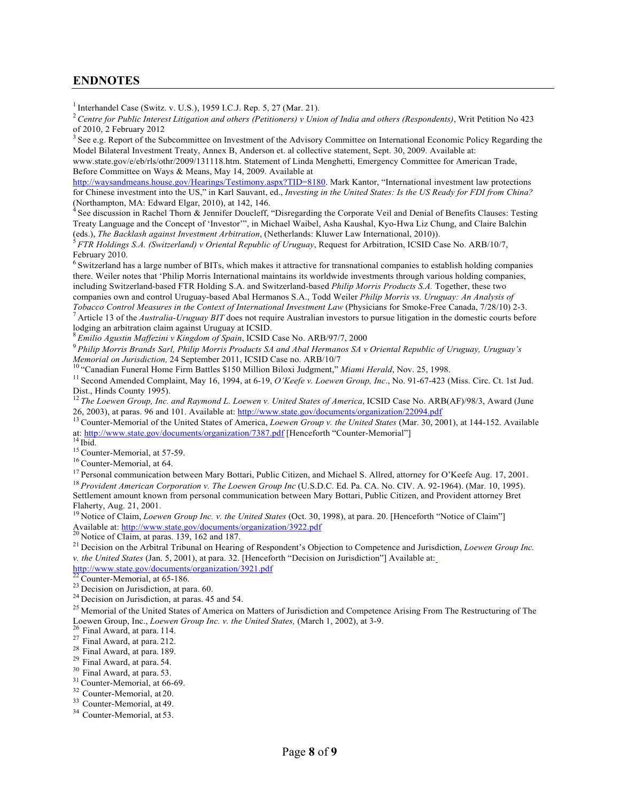## **ENDNOTES**

 $1$  Interhandel Case (Switz. v. U.S.), 1959 I.C.J. Rep. 5, 27 (Mar. 21).

<sup>2</sup>*Centre for Public Interest Litigation and others (Petitioners) v Union of India and others (Respondents)*, Writ Petition No 423 of 2010, 2 February 2012

<sup>3</sup> See e.g. Report of the Subcommittee on Investment of the Advisory Committee on International Economic Policy Regarding the Model Bilateral Investment Treaty, Annex B, Anderson et. al collective statement, Sept. 30, 2009. Available at:

[www.state.gov/e/eb/rls/othr/2009/131118.htm. S](http://www.state.gov/e/eb/rls/othr/2009/131118.htm)tatement of Linda Menghetti, Emergency Committee for American Trade, Before Committee on Ways & Means, May 14, 2009. Available at

[http://waysandmeans.house.gov/Hearings/Testimony.aspx?TID=8180. M](http://waysandmeans.house.gov/Hearings/Testimony.aspx?TID=8180)ark Kantor, "International investment law protections for Chinese investment into the US," in Karl Sauvant, ed., *Investing in the United States: Is the US Ready for FDI from China?*  (Northampton, MA: Edward Elgar, 2010), at 142, 146.

See discussion in Rachel Thorn & Jennifer Doucleff, "Disregarding the Corporate Veil and Denial of Benefits Clauses: Testing Treaty Language and the Concept of 'Investor'", in Michael Waibel, Asha Kaushal, Kyo-Hwa Liz Chung, and Claire Balchin (eds.), The Backlash against Investment Arbitration, (Netherlands: Kluwer Law International, 2010)).

 ${}^5$  FTR Holdings S.A. (Switzerland) v Oriental Republic of Uruguay, Request for Arbitration, ICSID Case No. ARB/10/7, February 2010.

 $<sup>6</sup>$  Switzerland has a large number of BITs, which makes it attractive for transnational companies to establish holding companies</sup> there. Weiler notes that 'Philip Morris International maintains its worldwide investments through various holding companies, including Switzerland-based FTR Holding S.A. and Switzerland-based *Philip Morris Products S.A.* Together, these two companies own and control Uruguay-based Abal Hermanos S.A., Todd Weiler *Philip Morris vs. Uruguay: An Analysis of Tobacco Control Measures in the Context of International Investment Law (Physicians for Smoke-Free Canada, 7/28/10) 2-3.*<br><sup>7</sup> Article 13 of the *Australia-Uruguay BIT* does not require Australian investors to pursue liti

lodging an arbitration claim against Uruguay at ICSID.

<sup>8</sup>*Emilio Agustin Maffezini v Kingdom of Spain*, ICSID Case No. ARB/97/7, 2000

<sup>9</sup>*Philip Morris Brands Sarl, Philip Morris Products SA and Abal Hermanos SA v Oriental Republic of Uruguay, Uruguay's* 

<sup>10</sup> "Canadian Funeral Home Firm Battles \$150 Million Biloxi Judgment," *Miami Herald*, Nov. 25, 1998.

<sup>11</sup> Second Amended Complaint, May 16, 1994, at 6-19, *O'Keefe v. Loewen Group, Inc.*, No. 91-67-423 (Miss. Circ. Ct. 1st Jud. Dist., Hinds County 1995).

<sup>12</sup> The Loewen Group, Inc. and Raymond L. Loewen v. United States of America, ICSID Case No. ARB(AF)/98/3, Award (June 26, 2003), at paras. 96 and 101. Available at:<http://www.state.gov/documents/organization/22094.pdf><br><sup>13</sup> Counter-Memorial of the United States of America, *Loewen Group v. the United States* (Mar. 30, 2001), at 144-152. A

at:<http://www.state.gov/documents/organization/7387.pdf> [Henceforth "Counter-Memorial"] 14 Ibid.<br>
<sup>14</sup> Ibid.<br>
<sup>15</sup> Counter-Memorial, at 57-59.<br>
<sup>16</sup> Counter-Memorial, at 64.

<sup>17</sup> Personal communication between Mary Bottari, Public Citizen, and Michael S. Allred, attorney for O'Keefe Aug. 17, 2001.<br><sup>18</sup> Provident American Corporation v. The Loewen Group Inc (U.S.D.C. Ed. Pa. CA. No. CIV. A. 92

Settlement amount known from personal communication between Mary Bottari, Public Citizen, and Provident attorney Bret Flaherty, Aug. 21, 2001.

<sup>19</sup> Notice of Claim, *Loewen Group Inc. v. the United States* (Oct. 30, 1998), at para. 20. [Henceforth "Notice of Claim"]<br>Available at: http://www.state.gov/documents/organization/3922.pdf<br><sup>20</sup> Notice of Claim, at paras.

<sup>21</sup> Decision on the Arbitral Tribunal on Hearing of Respondent's Objection to Competence and Jurisdiction, Loewen Group Inc. *v. the United States* (Jan. 5, 2001), at para. 32. [Henceforth "Decision on Jurisdiction"] Available at:

<http://www.state.gov/documents/organization/3921.pdf>  $^{22}$  Counter-Memorial, at 65-186.<br><sup>23</sup> Decision on Jurisdiction, at para. 60. <sup>24</sup> Decision on Jurisdiction, at paras. 45 and 54.

<sup>25</sup> Memorial of the United States of America on Matters of Jurisdiction and Competence Arising From The Restructuring of The Loewen Group, Inc., *Loewen Group Inc. v. the United States*, (March 1, 2002), at 3-9.<br><sup>26</sup> Final Award, at para. 114.<br><sup>27</sup> Final Award, at para. 212.<br><sup>28</sup> Final Award, at para. 189.<br><sup>29</sup> Final Award, at para. 54.<br><sup>29</sup> Fi